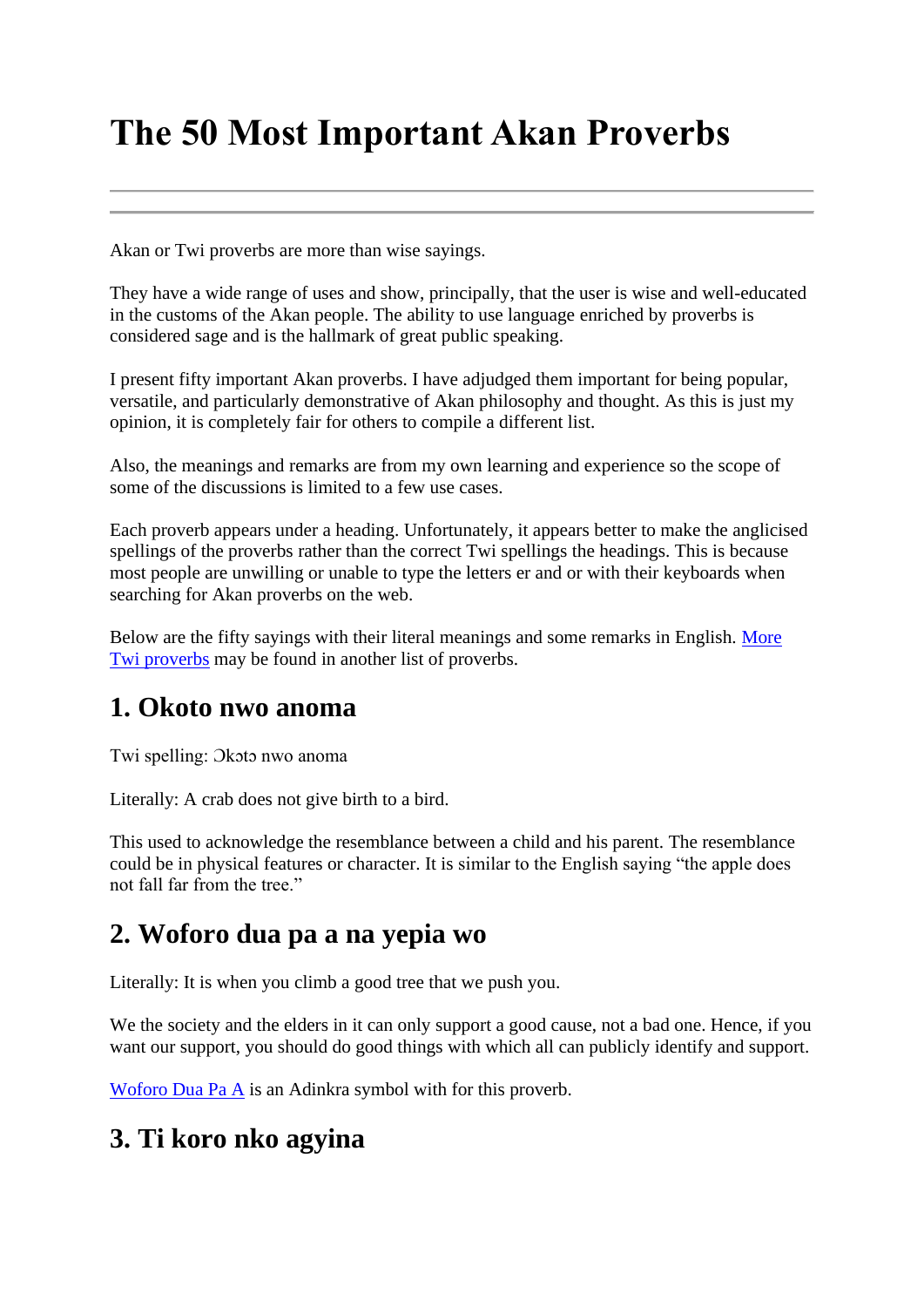# **The 50 Most Important Akan Proverbs**

Akan or Twi proverbs are more than wise sayings.

They have a wide range of uses and show, principally, that the user is wise and well-educated in the customs of the Akan people. The ability to use language enriched by proverbs is considered sage and is the hallmark of great public speaking.

I present fifty important Akan proverbs. I have adjudged them important for being popular, versatile, and particularly demonstrative of Akan philosophy and thought. As this is just my opinion, it is completely fair for others to compile a different list.

Also, the meanings and remarks are from my own learning and experience so the scope of some of the discussions is limited to a few use cases.

Each proverb appears under a heading. Unfortunately, it appears better to make the anglicised spellings of the proverbs rather than the correct Twi spellings the headings. This is because most people are unwilling or unable to type the letters er and or with their keyboards when searching for Akan proverbs on the web.

Below are the fifty sayings with their literal meanings and some remarks in English. More [Twi proverbs](http://www.adinkrasymbols.org/pages/akan-proverbs-english-meanings) may be found in another list of proverbs.

#### **1. Okoto nwo anoma**

Twi spelling: Ɔkɔtɔ nwo anoma

Literally: A crab does not give birth to a bird.

This used to acknowledge the resemblance between a child and his parent. The resemblance could be in physical features or character. It is similar to the English saying "the apple does not fall far from the tree."

### **2. Woforo dua pa a na yepia wo**

Literally: It is when you climb a good tree that we push you.

We the society and the elders in it can only support a good cause, not a bad one. Hence, if you want our support, you should do good things with which all can publicly identify and support.

[Woforo Dua Pa A](http://www.adinkrasymbols.org/symbols/woforo-dua-pa-a) is an Adinkra symbol with for this proverb.

# **3. Ti koro nko agyina**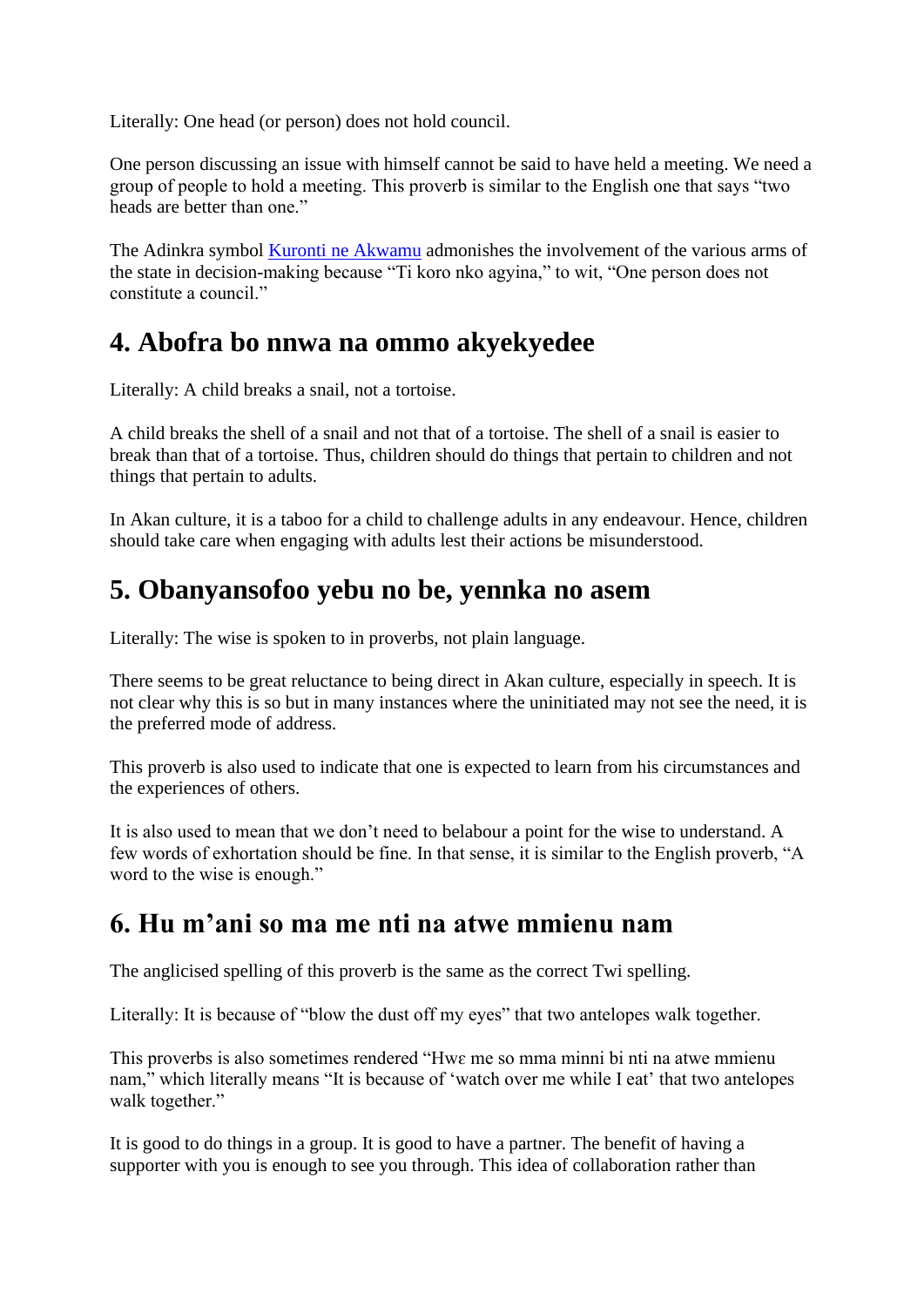Literally: One head (or person) does not hold council.

One person discussing an issue with himself cannot be said to have held a meeting. We need a group of people to hold a meeting. This proverb is similar to the English one that says "two heads are better than one."

The Adinkra symbol [Kuronti ne Akwamu](http://www.adinkrasymbols.org/symbols/kuronti-ne-akwamu) admonishes the involvement of the various arms of the state in decision-making because "Ti koro nko agyina," to wit, "One person does not constitute a council."

### **4. Abofra bo nnwa na ommo akyekyedee**

Literally: A child breaks a snail, not a tortoise.

A child breaks the shell of a snail and not that of a tortoise. The shell of a snail is easier to break than that of a tortoise. Thus, children should do things that pertain to children and not things that pertain to adults.

In Akan culture, it is a taboo for a child to challenge adults in any endeavour. Hence, children should take care when engaging with adults lest their actions be misunderstood.

### **5. Obanyansofoo yebu no be, yennka no asem**

Literally: The wise is spoken to in proverbs, not plain language.

There seems to be great reluctance to being direct in Akan culture, especially in speech. It is not clear why this is so but in many instances where the uninitiated may not see the need, it is the preferred mode of address.

This proverb is also used to indicate that one is expected to learn from his circumstances and the experiences of others.

It is also used to mean that we don't need to belabour a point for the wise to understand. A few words of exhortation should be fine. In that sense, it is similar to the English proverb, "A word to the wise is enough."

### **6. Hu m'ani so ma me nti na atwe mmienu nam**

The anglicised spelling of this proverb is the same as the correct Twi spelling.

Literally: It is because of "blow the dust off my eyes" that two antelopes walk together.

This proverbs is also sometimes rendered "Hwɛ me so mma minni bi nti na atwe mmienu nam," which literally means "It is because of 'watch over me while I eat' that two antelopes walk together."

It is good to do things in a group. It is good to have a partner. The benefit of having a supporter with you is enough to see you through. This idea of collaboration rather than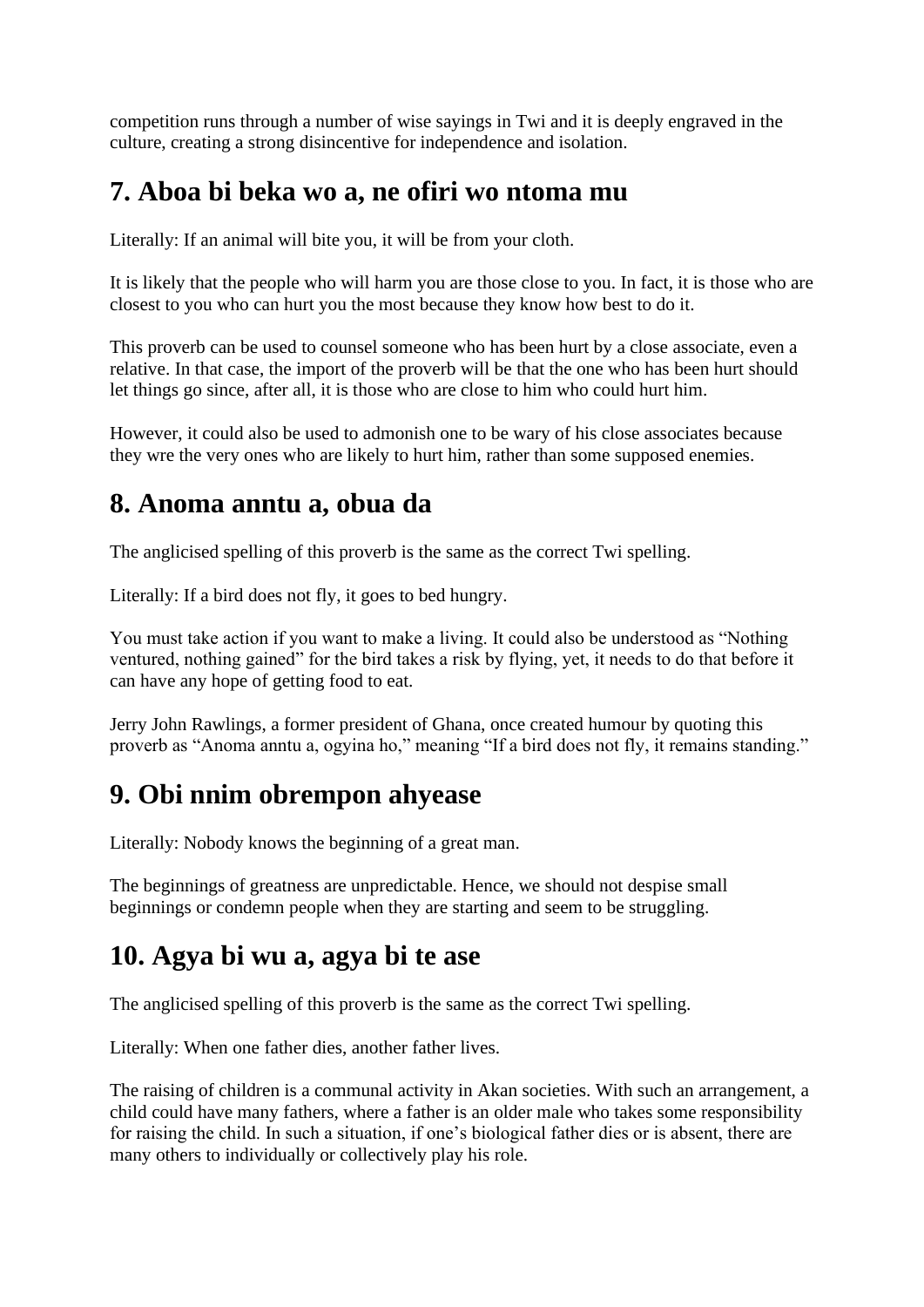competition runs through a number of wise sayings in Twi and it is deeply engraved in the culture, creating a strong disincentive for independence and isolation.

### **7. Aboa bi beka wo a, ne ofiri wo ntoma mu**

Literally: If an animal will bite you, it will be from your cloth.

It is likely that the people who will harm you are those close to you. In fact, it is those who are closest to you who can hurt you the most because they know how best to do it.

This proverb can be used to counsel someone who has been hurt by a close associate, even a relative. In that case, the import of the proverb will be that the one who has been hurt should let things go since, after all, it is those who are close to him who could hurt him.

However, it could also be used to admonish one to be wary of his close associates because they wre the very ones who are likely to hurt him, rather than some supposed enemies.

### **8. Anoma anntu a, obua da**

The anglicised spelling of this proverb is the same as the correct Twi spelling.

Literally: If a bird does not fly, it goes to bed hungry.

You must take action if you want to make a living. It could also be understood as "Nothing ventured, nothing gained" for the bird takes a risk by flying, yet, it needs to do that before it can have any hope of getting food to eat.

Jerry John Rawlings, a former president of Ghana, once created humour by quoting this proverb as "Anoma anntu a, ogyina ho," meaning "If a bird does not fly, it remains standing."

### **9. Obi nnim obrempon ahyease**

Literally: Nobody knows the beginning of a great man.

The beginnings of greatness are unpredictable. Hence, we should not despise small beginnings or condemn people when they are starting and seem to be struggling.

#### **10. Agya bi wu a, agya bi te ase**

The anglicised spelling of this proverb is the same as the correct Twi spelling.

Literally: When one father dies, another father lives.

The raising of children is a communal activity in Akan societies. With such an arrangement, a child could have many fathers, where a father is an older male who takes some responsibility for raising the child. In such a situation, if one's biological father dies or is absent, there are many others to individually or collectively play his role.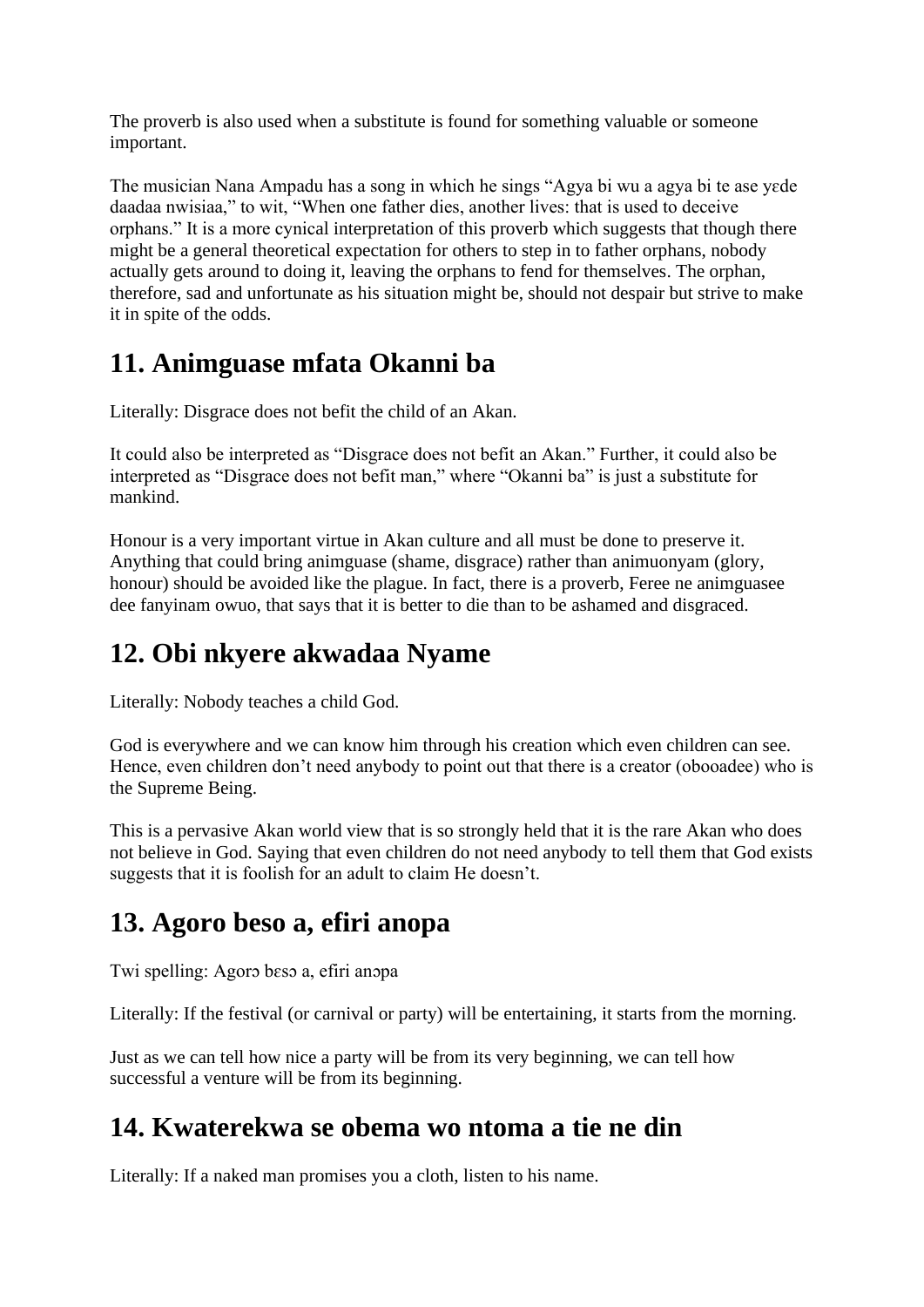The proverb is also used when a substitute is found for something valuable or someone important.

The musician Nana Ampadu has a song in which he sings "Agya bi wu a agya bi te ase yɛde daadaa nwisiaa," to wit, "When one father dies, another lives: that is used to deceive orphans." It is a more cynical interpretation of this proverb which suggests that though there might be a general theoretical expectation for others to step in to father orphans, nobody actually gets around to doing it, leaving the orphans to fend for themselves. The orphan, therefore, sad and unfortunate as his situation might be, should not despair but strive to make it in spite of the odds.

# **11. Animguase mfata Okanni ba**

Literally: Disgrace does not befit the child of an Akan.

It could also be interpreted as "Disgrace does not befit an Akan." Further, it could also be interpreted as "Disgrace does not befit man," where "Okanni ba" is just a substitute for mankind.

Honour is a very important virtue in Akan culture and all must be done to preserve it. Anything that could bring animguase (shame, disgrace) rather than animuonyam (glory, honour) should be avoided like the plague. In fact, there is a proverb, Feree ne animguasee dee fanyinam owuo, that says that it is better to die than to be ashamed and disgraced.

# **12. Obi nkyere akwadaa Nyame**

Literally: Nobody teaches a child God.

God is everywhere and we can know him through his creation which even children can see. Hence, even children don't need anybody to point out that there is a creator (obooadee) who is the Supreme Being.

This is a pervasive Akan world view that is so strongly held that it is the rare Akan who does not believe in God. Saying that even children do not need anybody to tell them that God exists suggests that it is foolish for an adult to claim He doesn't.

# **13. Agoro beso a, efiri anopa**

Twi spelling: Agorɔ bɛsɔ a, efiri anɔpa

Literally: If the festival (or carnival or party) will be entertaining, it starts from the morning.

Just as we can tell how nice a party will be from its very beginning, we can tell how successful a venture will be from its beginning.

### **14. Kwaterekwa se obema wo ntoma a tie ne din**

Literally: If a naked man promises you a cloth, listen to his name.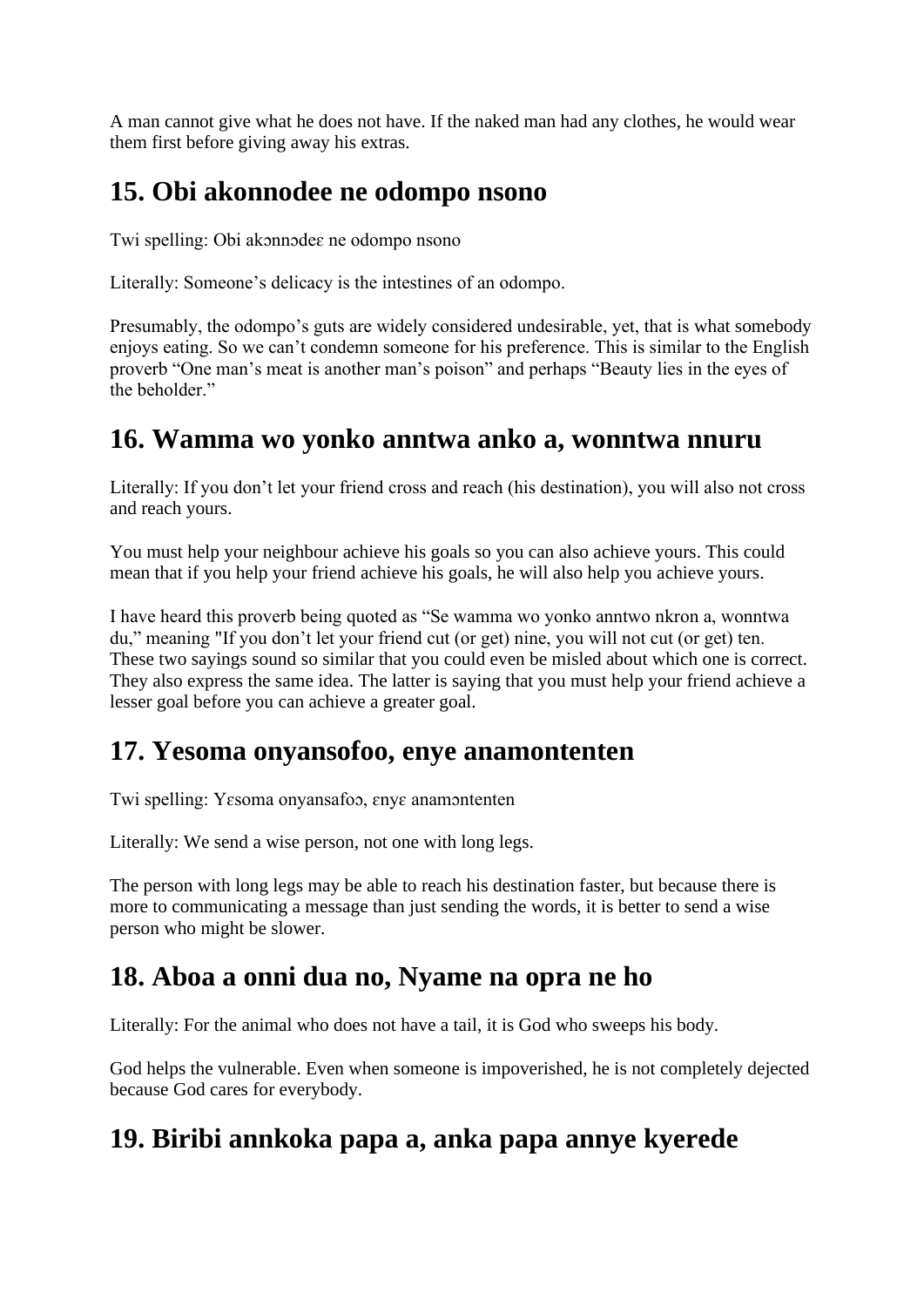A man cannot give what he does not have. If the naked man had any clothes, he would wear them first before giving away his extras.

# **15. Obi akonnodee ne odompo nsono**

Twi spelling: Obi akɔnnɔdeɛ ne odompo nsono

Literally: Someone's delicacy is the intestines of an odompo.

Presumably, the odompo's guts are widely considered undesirable, yet, that is what somebody enjoys eating. So we can't condemn someone for his preference. This is similar to the English proverb "One man's meat is another man's poison" and perhaps "Beauty lies in the eyes of the beholder."

#### **16. Wamma wo yonko anntwa anko a, wonntwa nnuru**

Literally: If you don't let your friend cross and reach (his destination), you will also not cross and reach yours.

You must help your neighbour achieve his goals so you can also achieve yours. This could mean that if you help your friend achieve his goals, he will also help you achieve yours.

I have heard this proverb being quoted as "Se wamma wo yonko anntwo nkron a, wonntwa du," meaning "If you don't let your friend cut (or get) nine, you will not cut (or get) ten. These two sayings sound so similar that you could even be misled about which one is correct. They also express the same idea. The latter is saying that you must help your friend achieve a lesser goal before you can achieve a greater goal.

### **17. Yesoma onyansofoo, enye anamontenten**

Twi spelling: Yɛsoma onyansafoɔ, ɛnyɛ anamɔntenten

Literally: We send a wise person, not one with long legs.

The person with long legs may be able to reach his destination faster, but because there is more to communicating a message than just sending the words, it is better to send a wise person who might be slower.

# **18. Aboa a onni dua no, Nyame na opra ne ho**

Literally: For the animal who does not have a tail, it is God who sweeps his body.

God helps the vulnerable. Even when someone is impoverished, he is not completely dejected because God cares for everybody.

# **19. Biribi annkoka papa a, anka papa annye kyerede**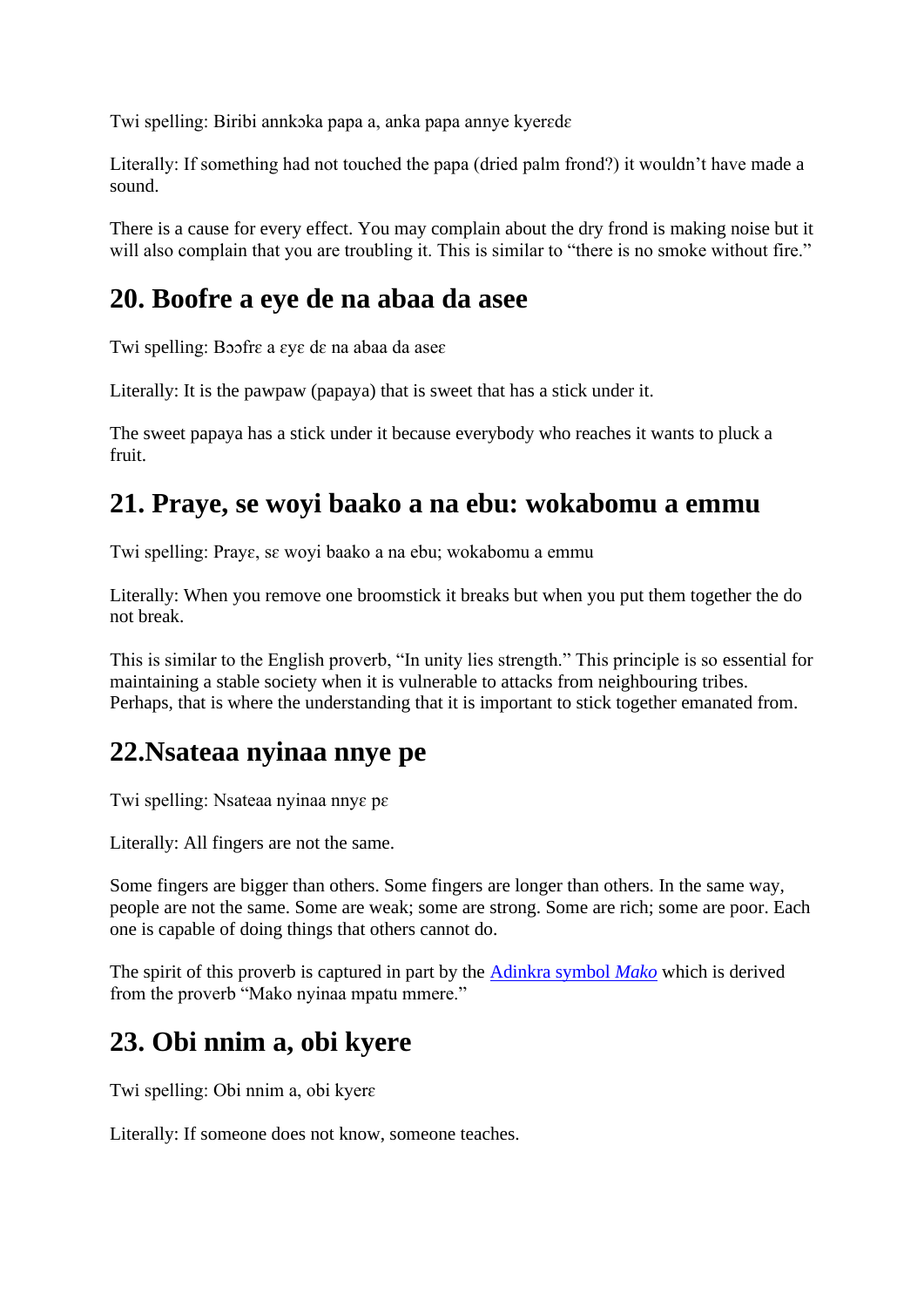Twi spelling: Biribi annkɔka papa a, anka papa annye kyerɛdɛ

Literally: If something had not touched the papa (dried palm frond?) it wouldn't have made a sound.

There is a cause for every effect. You may complain about the dry frond is making noise but it will also complain that you are troubling it. This is similar to "there is no smoke without fire."

### **20. Boofre a eye de na abaa da asee**

Twi spelling: Bɔɔfrɛ a ɛyɛ dɛ na abaa da aseɛ

Literally: It is the pawpaw (papaya) that is sweet that has a stick under it.

The sweet papaya has a stick under it because everybody who reaches it wants to pluck a fruit.

### **21. Praye, se woyi baako a na ebu: wokabomu a emmu**

Twi spelling: Prayɛ, sɛ woyi baako a na ebu; wokabomu a emmu

Literally: When you remove one broomstick it breaks but when you put them together the do not break.

This is similar to the English proverb, "In unity lies strength." This principle is so essential for maintaining a stable society when it is vulnerable to attacks from neighbouring tribes. Perhaps, that is where the understanding that it is important to stick together emanated from.

### **22.Nsateaa nyinaa nnye pe**

Twi spelling: Nsateaa nyinaa nnyɛ pɛ

Literally: All fingers are not the same.

Some fingers are bigger than others. Some fingers are longer than others. In the same way, people are not the same. Some are weak; some are strong. Some are rich; some are poor. Each one is capable of doing things that others cannot do.

The spirit of this proverb is captured in part by the [Adinkra symbol](http://www.adinkrasymbols.org/symbols/mako) *Mako* which is derived from the proverb "Mako nyinaa mpatu mmere."

### **23. Obi nnim a, obi kyere**

Twi spelling: Obi nnim a, obi kyerɛ

Literally: If someone does not know, someone teaches.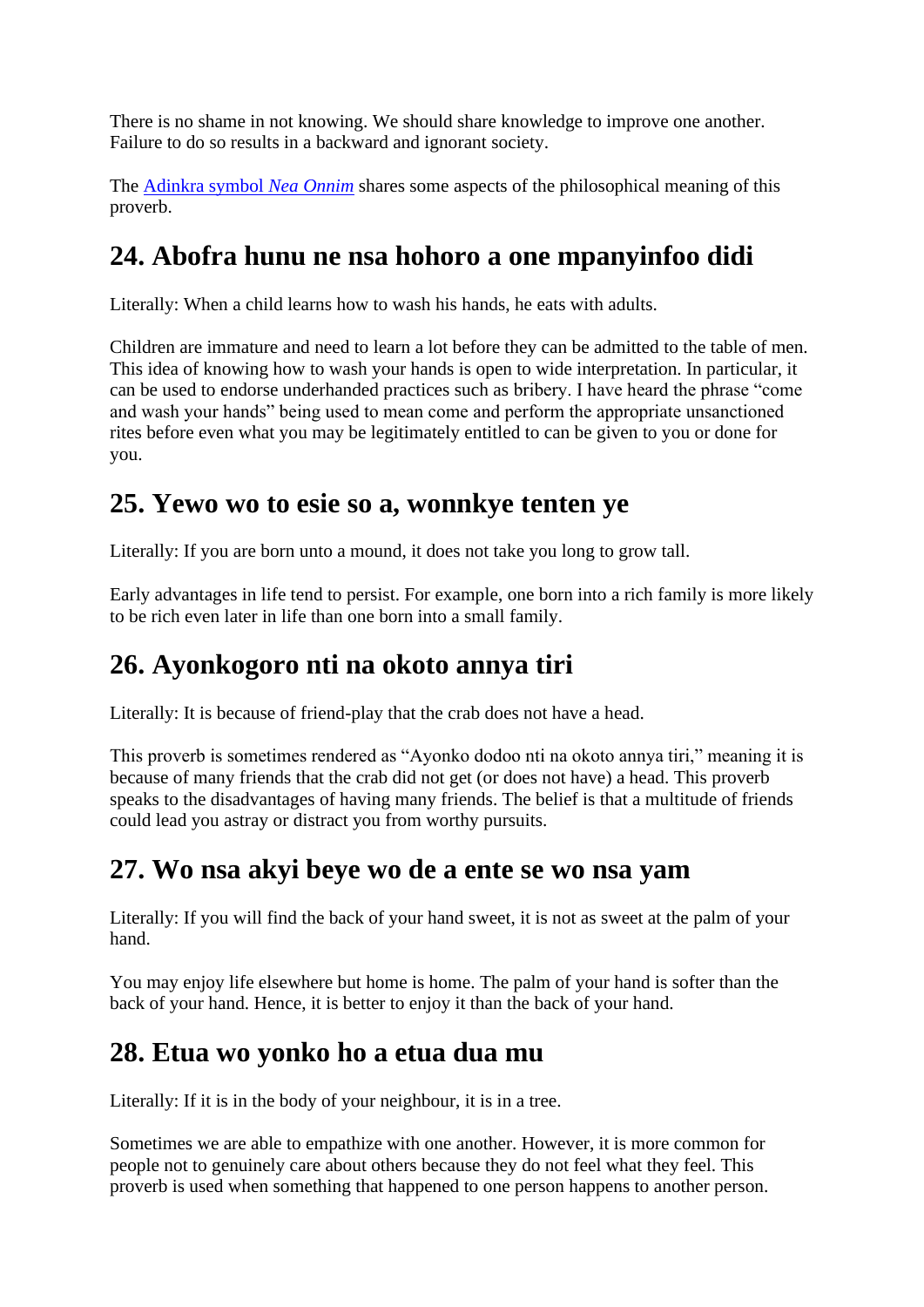There is no shame in not knowing. We should share knowledge to improve one another. Failure to do so results in a backward and ignorant society.

The [Adinkra symbol](http://www.adinkrasymbols.org/symbols/nea-onnim) *Nea Onnim* shares some aspects of the philosophical meaning of this proverb.

# **24. Abofra hunu ne nsa hohoro a one mpanyinfoo didi**

Literally: When a child learns how to wash his hands, he eats with adults.

Children are immature and need to learn a lot before they can be admitted to the table of men. This idea of knowing how to wash your hands is open to wide interpretation. In particular, it can be used to endorse underhanded practices such as bribery. I have heard the phrase "come and wash your hands" being used to mean come and perform the appropriate unsanctioned rites before even what you may be legitimately entitled to can be given to you or done for you.

### **25. Yewo wo to esie so a, wonnkye tenten ye**

Literally: If you are born unto a mound, it does not take you long to grow tall.

Early advantages in life tend to persist. For example, one born into a rich family is more likely to be rich even later in life than one born into a small family.

# **26. Ayonkogoro nti na okoto annya tiri**

Literally: It is because of friend-play that the crab does not have a head.

This proverb is sometimes rendered as "Ayonko dodoo nti na okoto annya tiri," meaning it is because of many friends that the crab did not get (or does not have) a head. This proverb speaks to the disadvantages of having many friends. The belief is that a multitude of friends could lead you astray or distract you from worthy pursuits.

# **27. Wo nsa akyi beye wo de a ente se wo nsa yam**

Literally: If you will find the back of your hand sweet, it is not as sweet at the palm of your hand.

You may enjoy life elsewhere but home is home. The palm of your hand is softer than the back of your hand. Hence, it is better to enjoy it than the back of your hand.

# **28. Etua wo yonko ho a etua dua mu**

Literally: If it is in the body of your neighbour, it is in a tree.

Sometimes we are able to empathize with one another. However, it is more common for people not to genuinely care about others because they do not feel what they feel. This proverb is used when something that happened to one person happens to another person.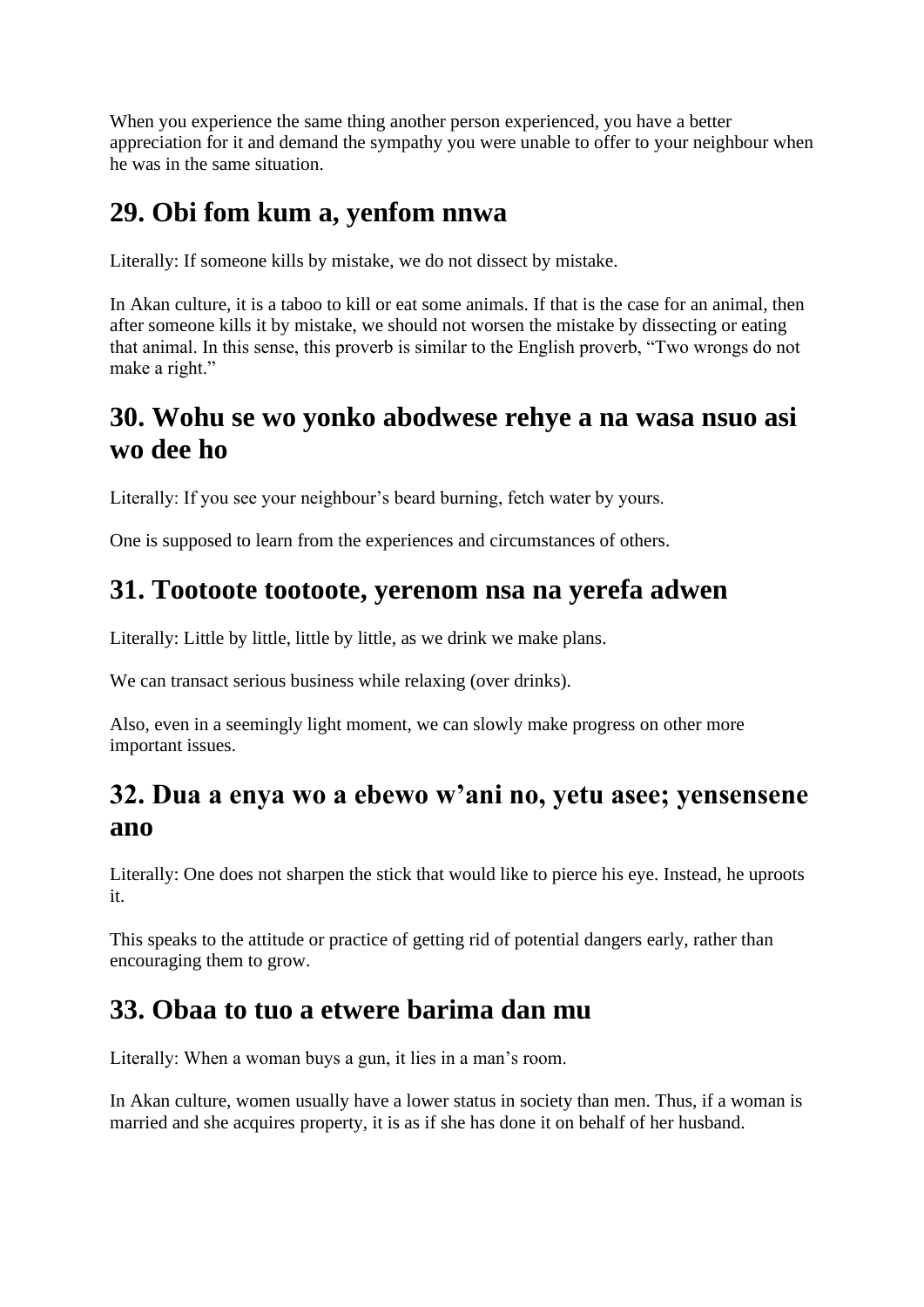When you experience the same thing another person experienced, you have a better appreciation for it and demand the sympathy you were unable to offer to your neighbour when he was in the same situation.

# **29. Obi fom kum a, yenfom nnwa**

Literally: If someone kills by mistake, we do not dissect by mistake.

In Akan culture, it is a taboo to kill or eat some animals. If that is the case for an animal, then after someone kills it by mistake, we should not worsen the mistake by dissecting or eating that animal. In this sense, this proverb is similar to the English proverb, "Two wrongs do not make a right."

### **30. Wohu se wo yonko abodwese rehye a na wasa nsuo asi wo dee ho**

Literally: If you see your neighbour's beard burning, fetch water by yours.

One is supposed to learn from the experiences and circumstances of others.

#### **31. Tootoote tootoote, yerenom nsa na yerefa adwen**

Literally: Little by little, little by little, as we drink we make plans.

We can transact serious business while relaxing (over drinks).

Also, even in a seemingly light moment, we can slowly make progress on other more important issues.

### **32. Dua a enya wo a ebewo w'ani no, yetu asee; yensensene ano**

Literally: One does not sharpen the stick that would like to pierce his eye. Instead, he uproots it.

This speaks to the attitude or practice of getting rid of potential dangers early, rather than encouraging them to grow.

# **33. Obaa to tuo a etwere barima dan mu**

Literally: When a woman buys a gun, it lies in a man's room.

In Akan culture, women usually have a lower status in society than men. Thus, if a woman is married and she acquires property, it is as if she has done it on behalf of her husband.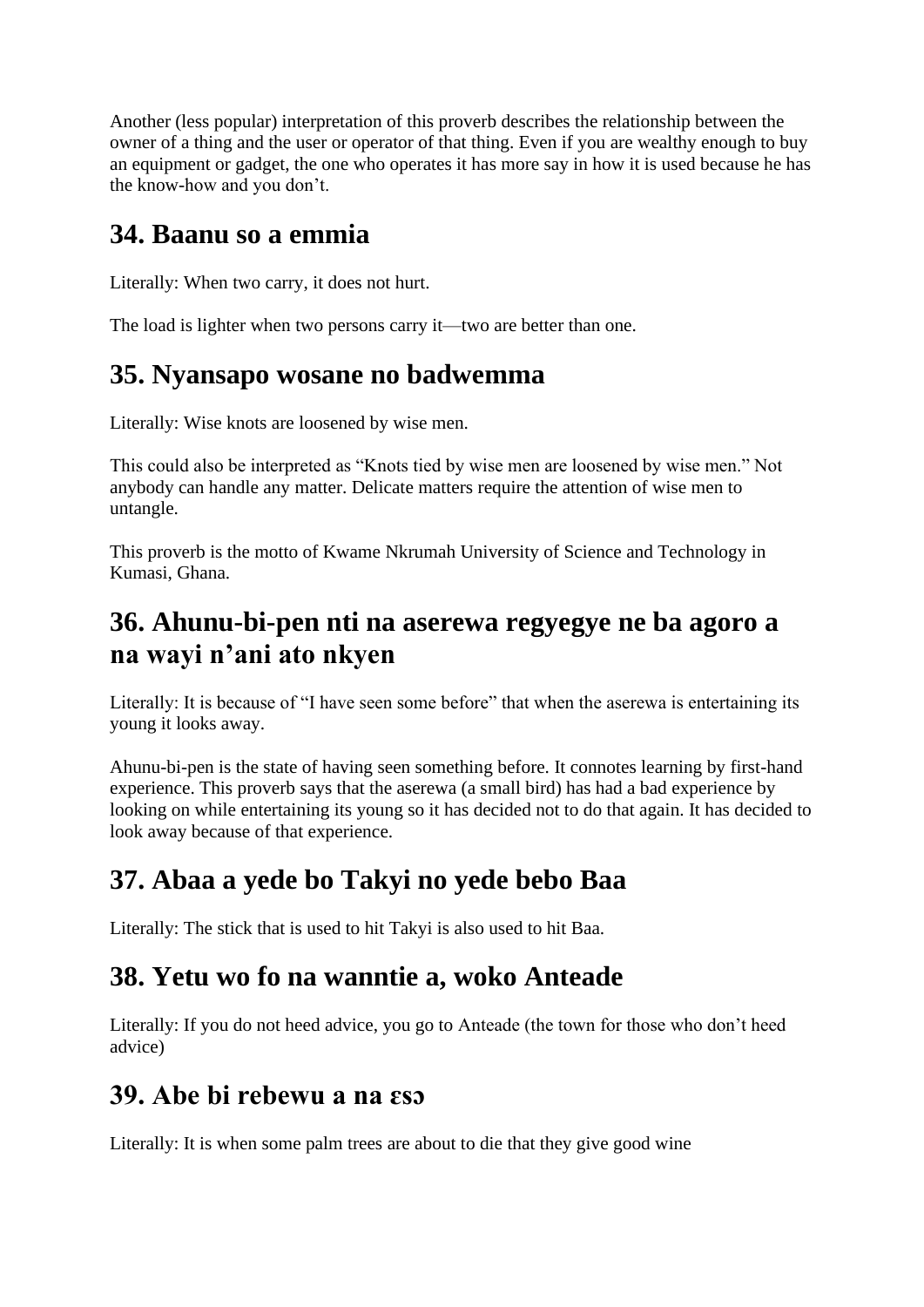Another (less popular) interpretation of this proverb describes the relationship between the owner of a thing and the user or operator of that thing. Even if you are wealthy enough to buy an equipment or gadget, the one who operates it has more say in how it is used because he has the know-how and you don't.

### **34. Baanu so a emmia**

Literally: When two carry, it does not hurt.

The load is lighter when two persons carry it—two are better than one.

# **35. Nyansapo wosane no badwemma**

Literally: Wise knots are loosened by wise men.

This could also be interpreted as "Knots tied by wise men are loosened by wise men." Not anybody can handle any matter. Delicate matters require the attention of wise men to untangle.

This proverb is the motto of Kwame Nkrumah University of Science and Technology in Kumasi, Ghana.

### **36. Ahunu-bi-pen nti na aserewa regyegye ne ba agoro a na wayi n'ani ato nkyen**

Literally: It is because of "I have seen some before" that when the aserewa is entertaining its young it looks away.

Ahunu-bi-pen is the state of having seen something before. It connotes learning by first-hand experience. This proverb says that the aserewa (a small bird) has had a bad experience by looking on while entertaining its young so it has decided not to do that again. It has decided to look away because of that experience.

# **37. Abaa a yede bo Takyi no yede bebo Baa**

Literally: The stick that is used to hit Takyi is also used to hit Baa.

### **38. Yetu wo fo na wanntie a, woko Anteade**

Literally: If you do not heed advice, you go to Anteade (the town for those who don't heed advice)

### **39. Abe bi rebewu a na ɛsɔ**

Literally: It is when some palm trees are about to die that they give good wine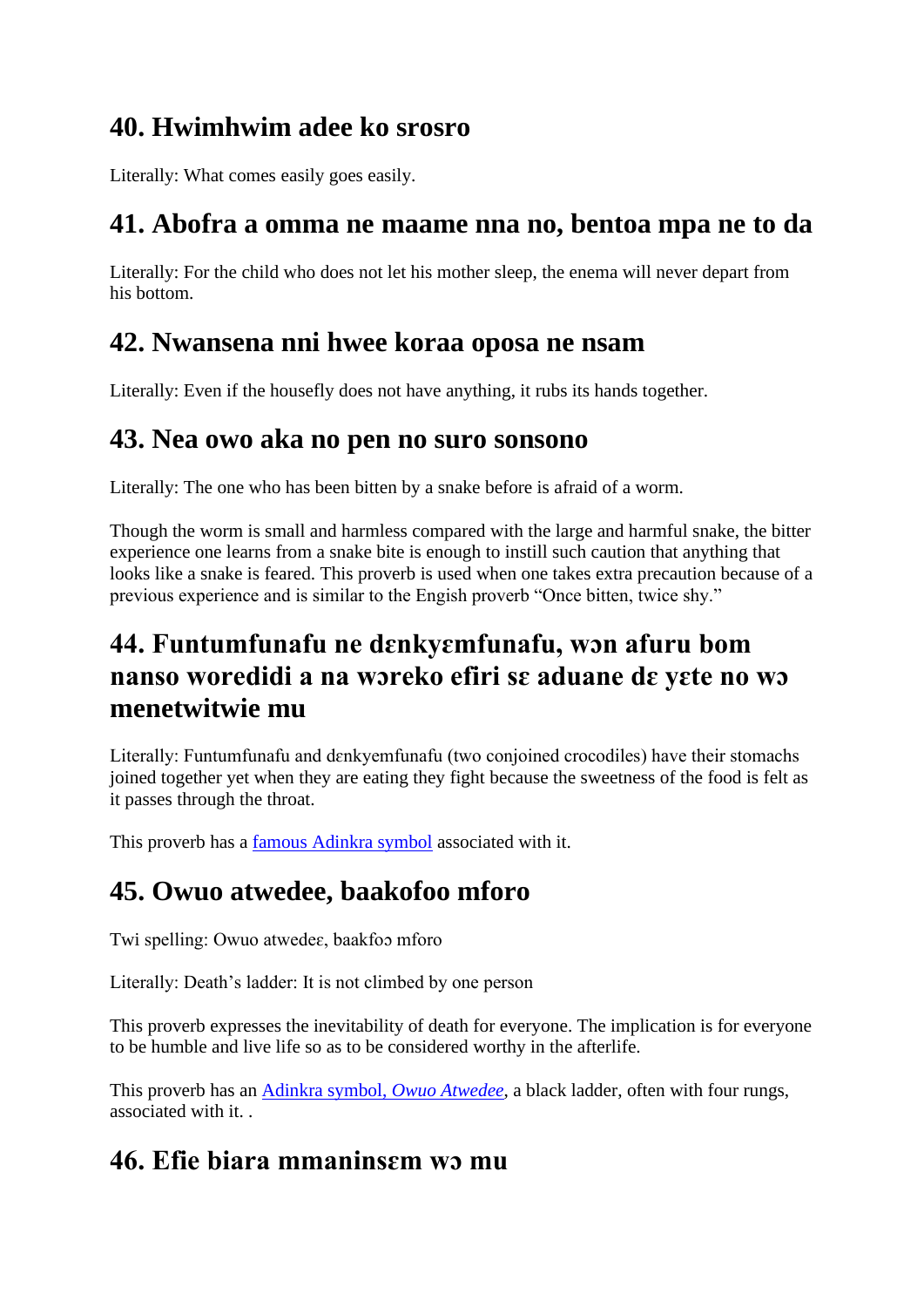### **40. Hwimhwim adee ko srosro**

Literally: What comes easily goes easily.

#### **41. Abofra a omma ne maame nna no, bentoa mpa ne to da**

Literally: For the child who does not let his mother sleep, the enema will never depart from his bottom.

### **42. Nwansena nni hwee koraa oposa ne nsam**

Literally: Even if the housefly does not have anything, it rubs its hands together.

#### **43. Nea owo aka no pen no suro sonsono**

Literally: The one who has been bitten by a snake before is afraid of a worm.

Though the worm is small and harmless compared with the large and harmful snake, the bitter experience one learns from a snake bite is enough to instill such caution that anything that looks like a snake is feared. This proverb is used when one takes extra precaution because of a previous experience and is similar to the Engish proverb "Once bitten, twice shy."

# **44. Funtumfunafu ne dɛnkyɛmfunafu, wɔn afuru bom nanso woredidi a na wɔreko efiri sɛ aduane dɛ yɛte no wɔ menetwitwie mu**

Literally: Funtumfunafu and dɛnkyemfunafu (two conjoined crocodiles) have their stomachs joined together yet when they are eating they fight because the sweetness of the food is felt as it passes through the throat.

This proverb has a [famous Adinkra symbol](http://www.adinkrasymbols.org/symbols/funtumfunafu-denkyemfunafu) associated with it.

# **45. Owuo atwedee, baakofoo mforo**

Twi spelling: Owuo atwedeɛ, baakfoɔ mforo

Literally: Death's ladder: It is not climbed by one person

This proverb expresses the inevitability of death for everyone. The implication is for everyone to be humble and live life so as to be considered worthy in the afterlife.

This proverb has an [Adinkra symbol,](http://www.adinkrasymbols.org/symbols/owuo-atwedee) *Owuo Atwedee*, a black ladder, often with four rungs, associated with it. .

# **46. Efie biara mmaninsɛm wɔ mu**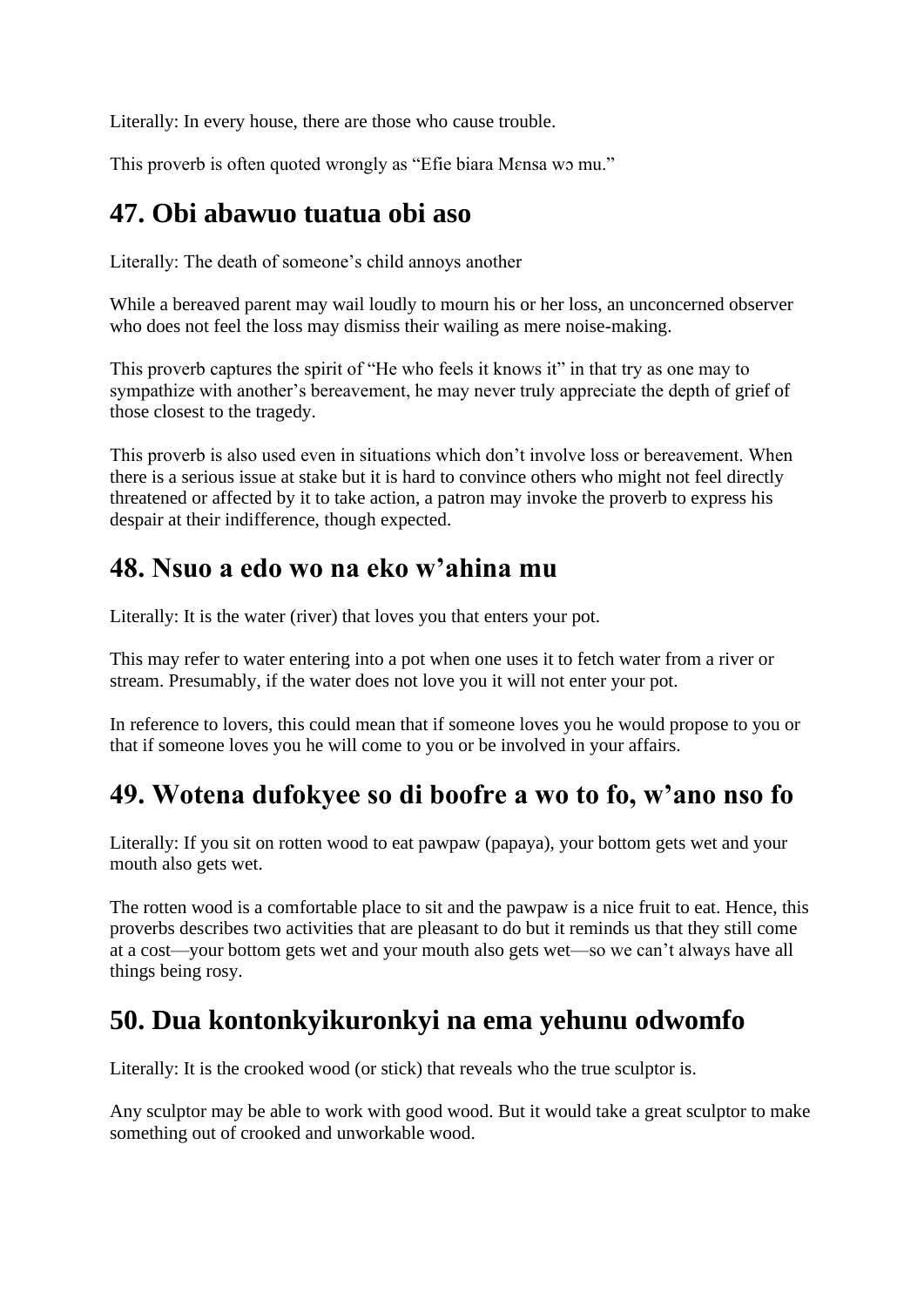Literally: In every house, there are those who cause trouble.

This proverb is often quoted wrongly as "Efie biara Mɛnsa wɔ mu."

### **47. Obi abawuo tuatua obi aso**

Literally: The death of someone's child annoys another

While a bereaved parent may wail loudly to mourn his or her loss, an unconcerned observer who does not feel the loss may dismiss their wailing as mere noise-making.

This proverb captures the spirit of "He who feels it knows it" in that try as one may to sympathize with another's bereavement, he may never truly appreciate the depth of grief of those closest to the tragedy.

This proverb is also used even in situations which don't involve loss or bereavement. When there is a serious issue at stake but it is hard to convince others who might not feel directly threatened or affected by it to take action, a patron may invoke the proverb to express his despair at their indifference, though expected.

### **48. Nsuo a edo wo na eko w'ahina mu**

Literally: It is the water (river) that loves you that enters your pot.

This may refer to water entering into a pot when one uses it to fetch water from a river or stream. Presumably, if the water does not love you it will not enter your pot.

In reference to lovers, this could mean that if someone loves you he would propose to you or that if someone loves you he will come to you or be involved in your affairs.

# **49. Wotena dufokyee so di boofre a wo to fo, w'ano nso fo**

Literally: If you sit on rotten wood to eat pawpaw (papaya), your bottom gets wet and your mouth also gets wet.

The rotten wood is a comfortable place to sit and the pawpaw is a nice fruit to eat. Hence, this proverbs describes two activities that are pleasant to do but it reminds us that they still come at a cost—your bottom gets wet and your mouth also gets wet—so we can't always have all things being rosy.

# **50. Dua kontonkyikuronkyi na ema yehunu odwomfo**

Literally: It is the crooked wood (or stick) that reveals who the true sculptor is.

Any sculptor may be able to work with good wood. But it would take a great sculptor to make something out of crooked and unworkable wood.